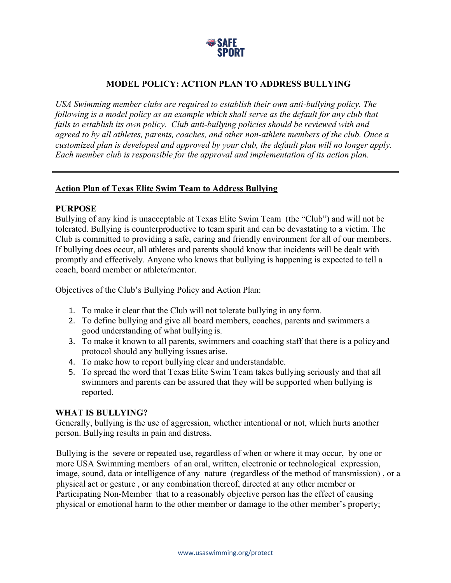

# **MODEL POLICY: ACTION PLAN TO ADDRESS BULLYING**

*USA Swimming member clubs are required to establish their own anti-bullying policy. The following is a model policy as an example which shall serve as the default for any club that fails to establish its own policy. Club anti-bullying policies should be reviewed with and agreed to by all athletes, parents, coaches, and other non-athlete members of the club. Once a customized plan is developed and approved by your club, the default plan will no longer apply. Each member club is responsible for the approval and implementation of its action plan.*

### **Action Plan of Texas Elite Swim Team to Address Bullying**

### **PURPOSE**

Bullying of any kind is unacceptable at Texas Elite Swim Team (the "Club") and will not be tolerated. Bullying is counterproductive to team spirit and can be devastating to a victim. The Club is committed to providing a safe, caring and friendly environment for all of our members. If bullying does occur, all athletes and parents should know that incidents will be dealt with promptly and effectively. Anyone who knows that bullying is happening is expected to tell a coach, board member or athlete/mentor.

Objectives of the Club's Bullying Policy and Action Plan:

- 1. To make it clear that the Club will not tolerate bullying in any form.
- 2. To define bullying and give all board members, coaches, parents and swimmers a good understanding of what bullying is.
- 3. To make it known to all parents, swimmers and coaching staff that there is a policyand protocol should any bullying issues arise.
- 4. To make how to report bullying clear and understandable.
- 5. To spread the word that Texas Elite Swim Team takes bullying seriously and that all swimmers and parents can be assured that they will be supported when bullying is reported.

### **WHAT IS BULLYING?**

Generally, bullying is the use of aggression, whether intentional or not, which hurts another person. Bullying results in pain and distress.

Bullying is the severe or repeated use, regardless of when or where it may occur, by one or more USA Swimming members of an oral, written, electronic or technological expression, image, sound, data or intelligence of any nature (regardless of the method of transmission) , or a physical act or gesture , or any combination thereof, directed at any other member or Participating Non-Member that to a reasonably objective person has the effect of causing physical or emotional harm to the other member or damage to the other member's property;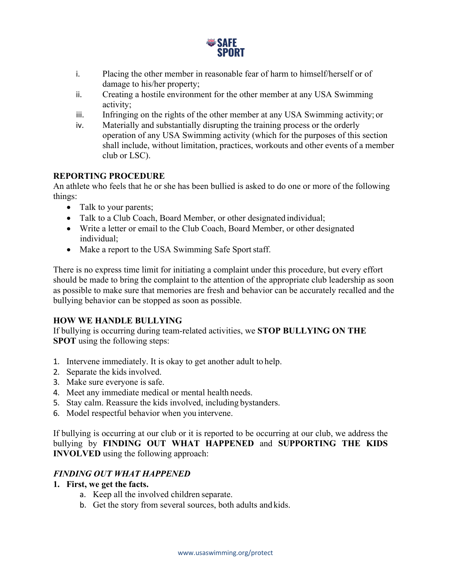

- i. Placing the other member in reasonable fear of harm to himself/herself or of damage to his/her property;
- ii. Creating a hostile environment for the other member at any USA Swimming activity;
- iii. Infringing on the rights of the other member at any USA Swimming activity; or
- iv. Materially and substantially disrupting the training process or the orderly operation of any USA Swimming activity (which for the purposes of this section shall include, without limitation, practices, workouts and other events of a member club or LSC).

## **REPORTING PROCEDURE**

An athlete who feels that he or she has been bullied is asked to do one or more of the following things:

- Talk to your parents;
- Talk to a Club Coach, Board Member, or other designated individual;
- Write a letter or email to the Club Coach, Board Member, or other designated individual;
- Make a report to the USA Swimming Safe Sport staff.

There is no express time limit for initiating a complaint under this procedure, but every effort should be made to bring the complaint to the attention of the appropriate club leadership as soon as possible to make sure that memories are fresh and behavior can be accurately recalled and the bullying behavior can be stopped as soon as possible.

### **HOW WE HANDLE BULLYING**

If bullying is occurring during team-related activities, we **STOP BULLYING ON THE SPOT** using the following steps:

- 1. Intervene immediately. It is okay to get another adult to help.
- 2. Separate the kids involved.
- 3. Make sure everyone is safe.
- 4. Meet any immediate medical or mental health needs.
- 5. Stay calm. Reassure the kids involved, including bystanders.
- 6. Model respectful behavior when you intervene.

If bullying is occurring at our club or it is reported to be occurring at our club, we address the bullying by **FINDING OUT WHAT HAPPENED** and **SUPPORTING THE KIDS INVOLVED** using the following approach:

## *FINDING OUT WHAT HAPPENED*

- **1. First, we get the facts.**
	- a. Keep all the involved children separate.
	- b. Get the story from several sources, both adults and kids.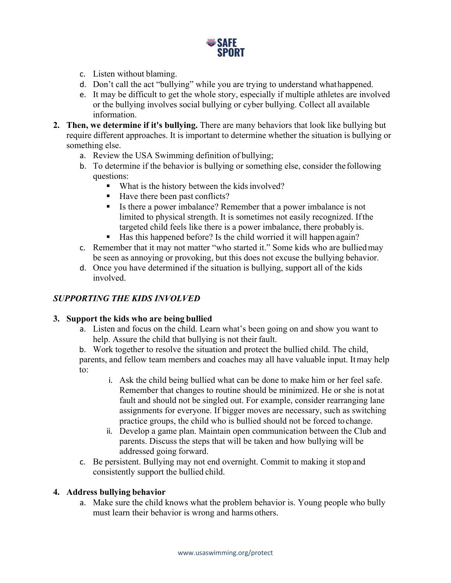

- c. Listen without blaming.
- d. Don't call the act "bullying" while you are trying to understand whathappened.
- e. It may be difficult to get the whole story, especially if multiple athletes are involved or the bullying involves social bullying or cyber bullying. Collect all available information.
- **2. Then, we determine if it's bullying.** There are many behaviors that look like bullying but require different approaches. It is important to determine whether the situation is bullying or something else.
	- a. Review the USA Swimming definition of bullying;
	- b. To determine if the behavior is bullying or something else, consider the following questions:
		- What is the history between the kids involved?
		- Have there been past conflicts?
		- Is there a power imbalance? Remember that a power imbalance is not limited to physical strength. It is sometimes not easily recognized. Ifthe targeted child feels like there is a power imbalance, there probably is.
		- Has this happened before? Is the child worried it will happen again?
	- c. Remember that it may not matter "who started it." Some kids who are bulliedmay be seen as annoying or provoking, but this does not excuse the bullying behavior.
	- d. Once you have determined if the situation is bullying, support all of the kids involved.

## *SUPPORTING THE KIDS INVOLVED*

### **3. Support the kids who are being bullied**

a. Listen and focus on the child. Learn what's been going on and show you want to help. Assure the child that bullying is not their fault.

b. Work together to resolve the situation and protect the bullied child. The child, parents, and fellow team members and coaches may all have valuable input. Itmay help to:

- i. Ask the child being bullied what can be done to make him or her feel safe. Remember that changes to routine should be minimized. He or she is not at fault and should not be singled out. For example, consider rearranging lane assignments for everyone. If bigger moves are necessary, such as switching practice groups, the child who is bullied should not be forced tochange.
- ii. Develop a game plan. Maintain open communication between the Club and parents. Discuss the steps that will be taken and how bullying will be addressed going forward.
- c. Be persistent. Bullying may not end overnight. Commit to making it stop and consistently support the bullied child.

### **4. Address bullying behavior**

a. Make sure the child knows what the problem behavior is. Young people who bully must learn their behavior is wrong and harms others.